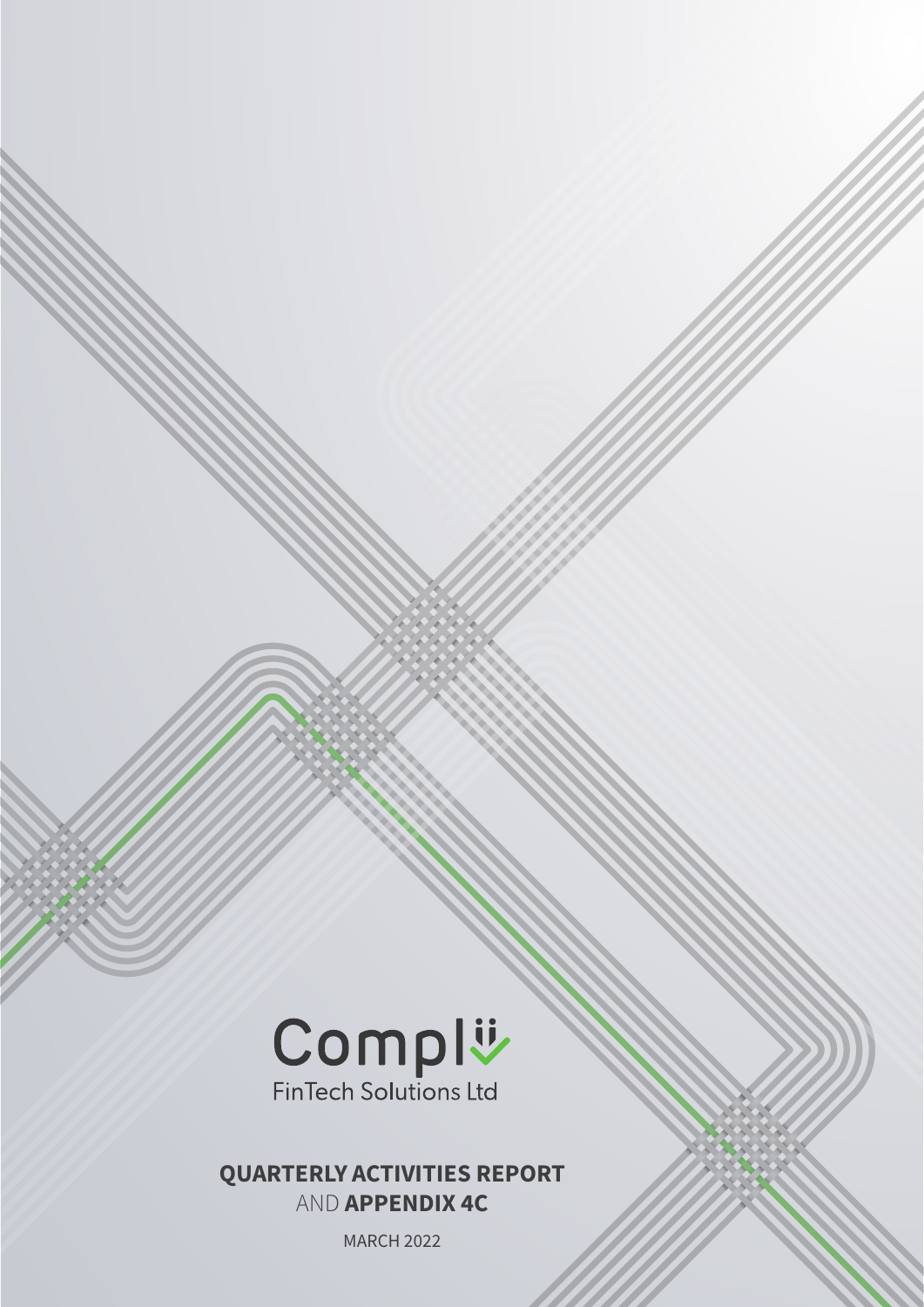

### QUARTERLY ACTIVITIES REPORT AND APPENDIX 4C

MARCH 2022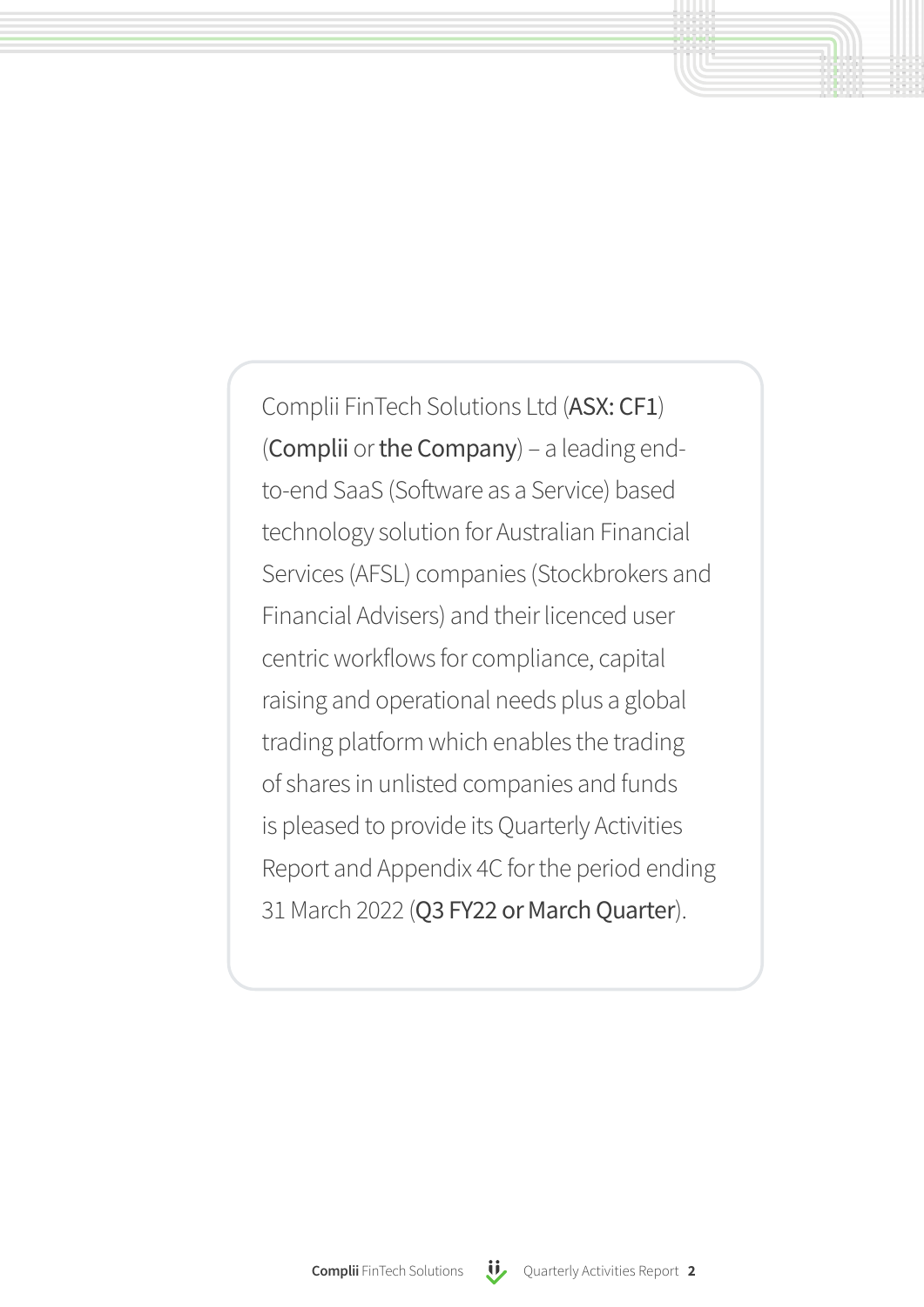Complii FinTech Solutions Ltd (ASX: CF1) (Complii or the Company) – a leading endto-end SaaS (Software as a Service) based technology solution for Australian Financial Services (AFSL) companies (Stockbrokers and Financial Advisers) and their licenced user centric workflows for compliance, capital raising and operational needs plus a global trading platform which enables the trading of shares in unlisted companies and funds is pleased to provide its Quarterly Activities Report and Appendix 4C for the period ending 31 March 2022 (Q3 FY22 or March Quarter).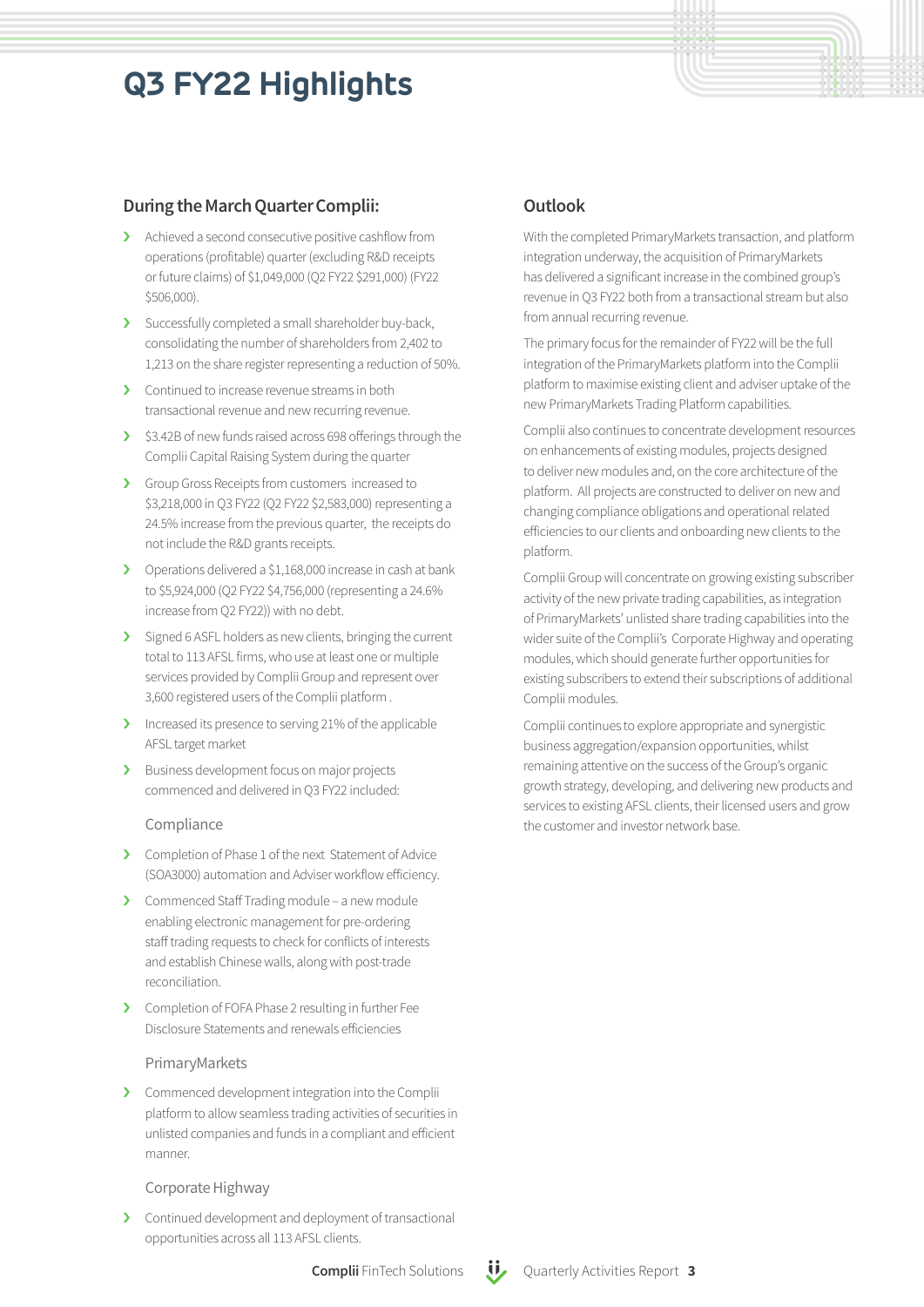# **Q3 FY22 Highlights**

### During the March Quarter Complii:

- › Achieved a second consecutive positive cashflow from operations (profitable) quarter (excluding R&D receipts or future claims) of \$1,049,000 (Q2 FY22 \$291,000) (FY22 \$506,000).
- › Successfully completed a small shareholder buy-back, consolidating the number of shareholders from 2,402 to 1,213 on the share register representing a reduction of 50%.
- › Continued to increase revenue streams in both transactional revenue and new recurring revenue.
- › \$3.42B of new funds raised across 698 offerings through the Complii Capital Raising System during the quarter
- › Group Gross Receipts from customers increased to \$3,218,000 in Q3 FY22 (Q2 FY22 \$2,583,000) representing a 24.5% increase from the previous quarter, the receipts do not include the R&D grants receipts.
- › Operations delivered a \$1,168,000 increase in cash at bank to \$5,924,000 (Q2 FY22 \$4,756,000 (representing a 24.6% increase from Q2 FY22)) with no debt.
- > Signed 6 ASFL holders as new clients, bringing the current total to 113 AFSL firms, who use at least one or multiple services provided by Complii Group and represent over 3,600 registered users of the Complii platform .
- › Increased its presence to serving 21% of the applicable AFSL target market
- > Business development focus on major projects commenced and delivered in Q3 FY22 included:

#### Compliance

- > Completion of Phase 1 of the next Statement of Advice (SOA3000) automation and Adviser workflow efficiency.
- › Commenced Staff Trading module a new module enabling electronic management for pre-ordering staff trading requests to check for conflicts of interests and establish Chinese walls, along with post-trade reconciliation.
- › Completion of FOFA Phase 2 resulting in further Fee Disclosure Statements and renewals efficiencies

#### PrimaryMarkets

› Commenced development integration into the Complii platform to allow seamless trading activities of securities in unlisted companies and funds in a compliant and efficient manner.

#### Corporate Highway

> Continued development and deployment of transactional opportunities across all 113 AFSL clients.

### **Outlook**

With the completed PrimaryMarkets transaction, and platform integration underway, the acquisition of PrimaryMarkets has delivered a significant increase in the combined group's revenue in Q3 FY22 both from a transactional stream but also from annual recurring revenue.

The primary focus for the remainder of FY22 will be the full integration of the PrimaryMarkets platform into the Complii platform to maximise existing client and adviser uptake of the new PrimaryMarkets Trading Platform capabilities.

Complii also continues to concentrate development resources on enhancements of existing modules, projects designed to deliver new modules and, on the core architecture of the platform. All projects are constructed to deliver on new and changing compliance obligations and operational related efficiencies to our clients and onboarding new clients to the platform.

Complii Group will concentrate on growing existing subscriber activity of the new private trading capabilities, as integration of PrimaryMarkets' unlisted share trading capabilities into the wider suite of the Complii's Corporate Highway and operating modules, which should generate further opportunities for existing subscribers to extend their subscriptions of additional Complii modules.

Complii continues to explore appropriate and synergistic business aggregation/expansion opportunities, whilst remaining attentive on the success of the Group's organic growth strategy, developing, and delivering new products and services to existing AFSL clients, their licensed users and grow the customer and investor network base.

#### Complii FinTech Solutions  $\mathbf{U}$  Quarterly Activities Report 3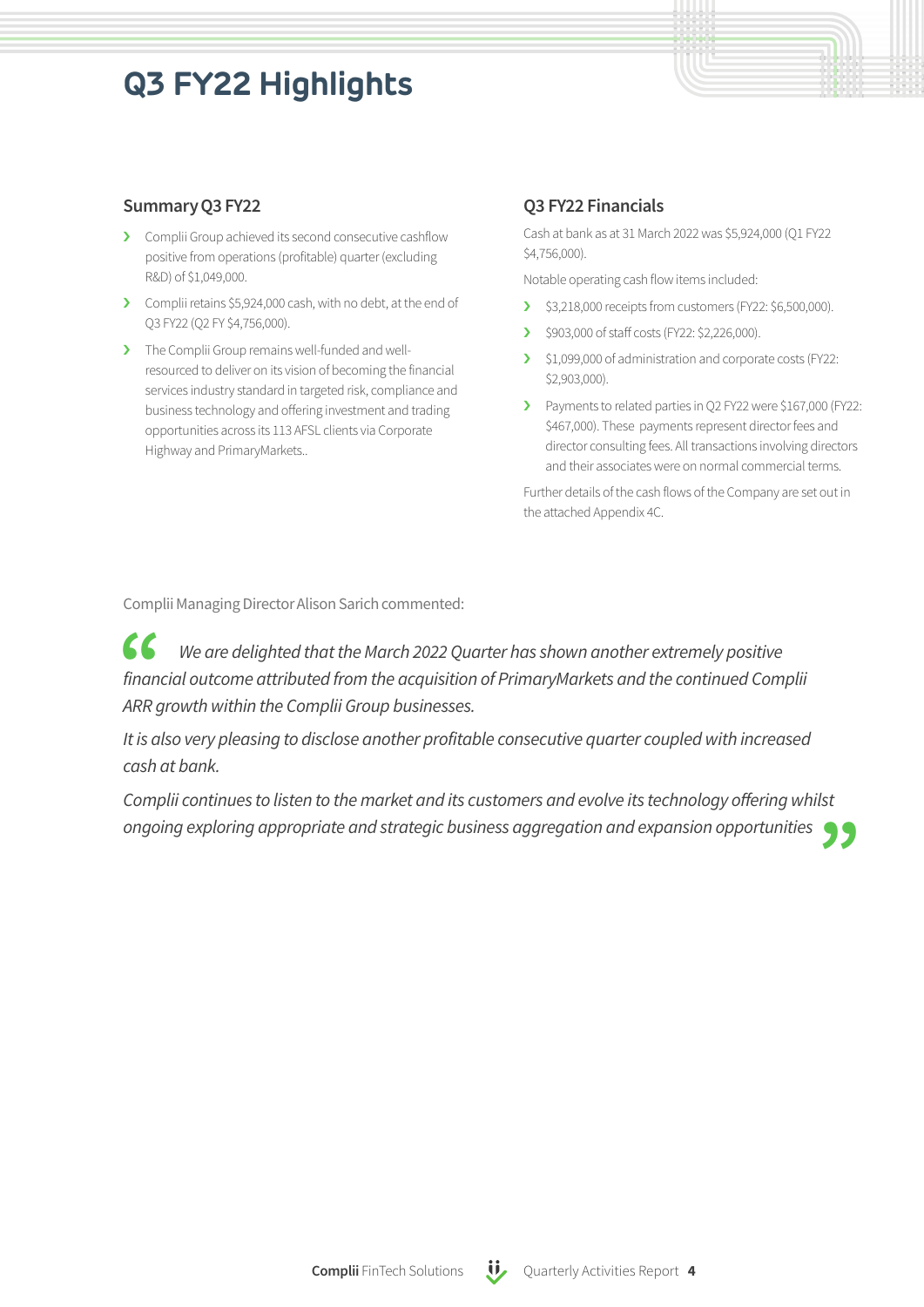# **Q3 FY22 Highlights**

### Summary Q3 FY22

- › Complii Group achieved its second consecutive cashflow positive from operations (profitable) quarter (excluding R&D) of \$1,049,000.
- > Complii retains \$5,924,000 cash, with no debt, at the end of Q3 FY22 (Q2 FY \$4,756,000).
- > The Complii Group remains well-funded and wellresourced to deliver on its vision of becoming the financial services industry standard in targeted risk, compliance and business technology and offering investment and trading opportunities across its 113 AFSL clients via Corporate Highway and PrimaryMarkets..

### Q3 FY22 Financials

Cash at bank as at 31 March 2022 was \$5,924,000 (Q1 FY22 \$4,756,000).

Notable operating cash flow items included:

- > \$3,218,000 receipts from customers (FY22: \$6,500,000).
- > \$903,000 of staff costs (FY22: \$2,226,000).
- › \$1,099,000 of administration and corporate costs (FY22: \$2,903,000).
- > Payments to related parties in Q2 FY22 were \$167,000 (FY22: \$467,000). These payments represent director fees and director consulting fees. All transactions involving directors and their associates were on normal commercial terms.

Further details of the cash flows of the Company are set out in the attached Appendix 4C.

Complii Managing Director Alison Sarich commented:

 $\epsilon$ *We are delighted that the March 2022 Quarter has shown another extremely positive financial outcome attributed fromthe acquisition of PrimaryMarkets and the continued Complii ARR growth within the Complii Group businesses.*

*Itis also very pleasing to disclose another profitable consecutive quarter coupled with increased cash at bank.*

 $\frac{1}{5}$ *Complii continues to listen to themarket and its customers and evolve its technology offering whilst ongoing exploring appropriate and strategic business aggregation and expansion opportunities*

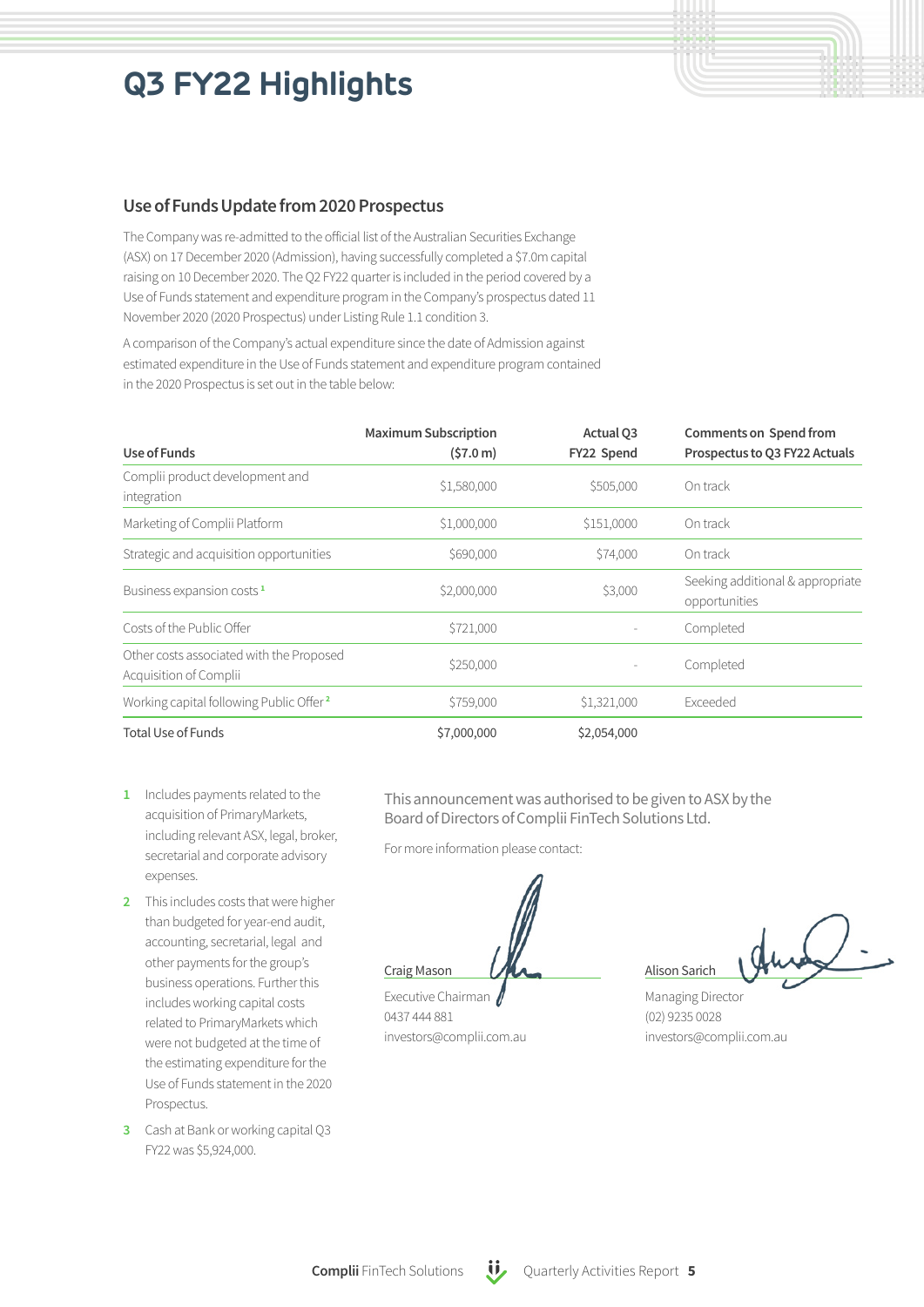# **Q3 FY22 Highlights**

### Use of Funds Update from 2020 Prospectus

The Company was re-admitted to the official list of the Australian Securities Exchange (ASX) on 17 December 2020 (Admission), having successfully completed a \$7.0m capital raising on 10 December 2020. The Q2 FY22 quarter is included in the period covered by a Use of Funds statement and expenditure program in the Company's prospectus dated 11 November 2020 (2020 Prospectus) under Listing Rule 1.1 condition 3.

A comparison of the Company's actual expenditure since the date of Admission against estimated expenditure in the Use of Funds statement and expenditure program contained in the 2020 Prospectus is set out in the table below:

|                                                                    | <b>Maximum Subscription</b> | Actual Q3   | Comments on Spend from                            |
|--------------------------------------------------------------------|-----------------------------|-------------|---------------------------------------------------|
| Use of Funds                                                       | (57.0 m)                    | FY22 Spend  | Prospectus to Q3 FY22 Actuals                     |
| Complii product development and<br>integration                     | \$1,580,000                 | \$505,000   | On track                                          |
| Marketing of Complii Platform                                      | \$1,000,000                 | \$151,0000  | On track                                          |
| Strategic and acquisition opportunities                            | \$690,000                   | \$74,000    | On track                                          |
| Business expansion costs <sup>1</sup>                              | \$2,000,000                 | \$3,000     | Seeking additional & appropriate<br>opportunities |
| Costs of the Public Offer                                          | \$721,000                   |             | Completed                                         |
| Other costs associated with the Proposed<br>Acquisition of Complii | \$250,000                   |             | Completed                                         |
| Working capital following Public Offer <sup>2</sup>                | \$759,000                   | \$1,321,000 | Exceeded                                          |
| <b>Total Use of Funds</b>                                          | \$7,000,000                 | \$2,054,000 |                                                   |

- 1 Includes payments related to the acquisition of PrimaryMarkets, including relevant ASX, legal, broker, secretarial and corporate advisory expenses.
- 2 This includes costs that were higher than budgeted for year-end audit, accounting, secretarial, legal and other payments for the group's business operations. Further this includes working capital costs related to PrimaryMarkets which were not budgeted at the time of the estimating expenditure for the Use of Funds statement in the 2020 Prospectus.
- 3 Cash at Bank or working capital Q3 FY22 was \$5,924,000.

This announcement was authorised to be given to ASX by the Board of Directors of Complii FinTech Solutions Ltd.

For more information please contact:

Craig Mason

Executive Chairman 0437 444 881 investors@complii.com.au

Alison Sarich

Managing Director (02) 9235 0028 investors@complii.com.au

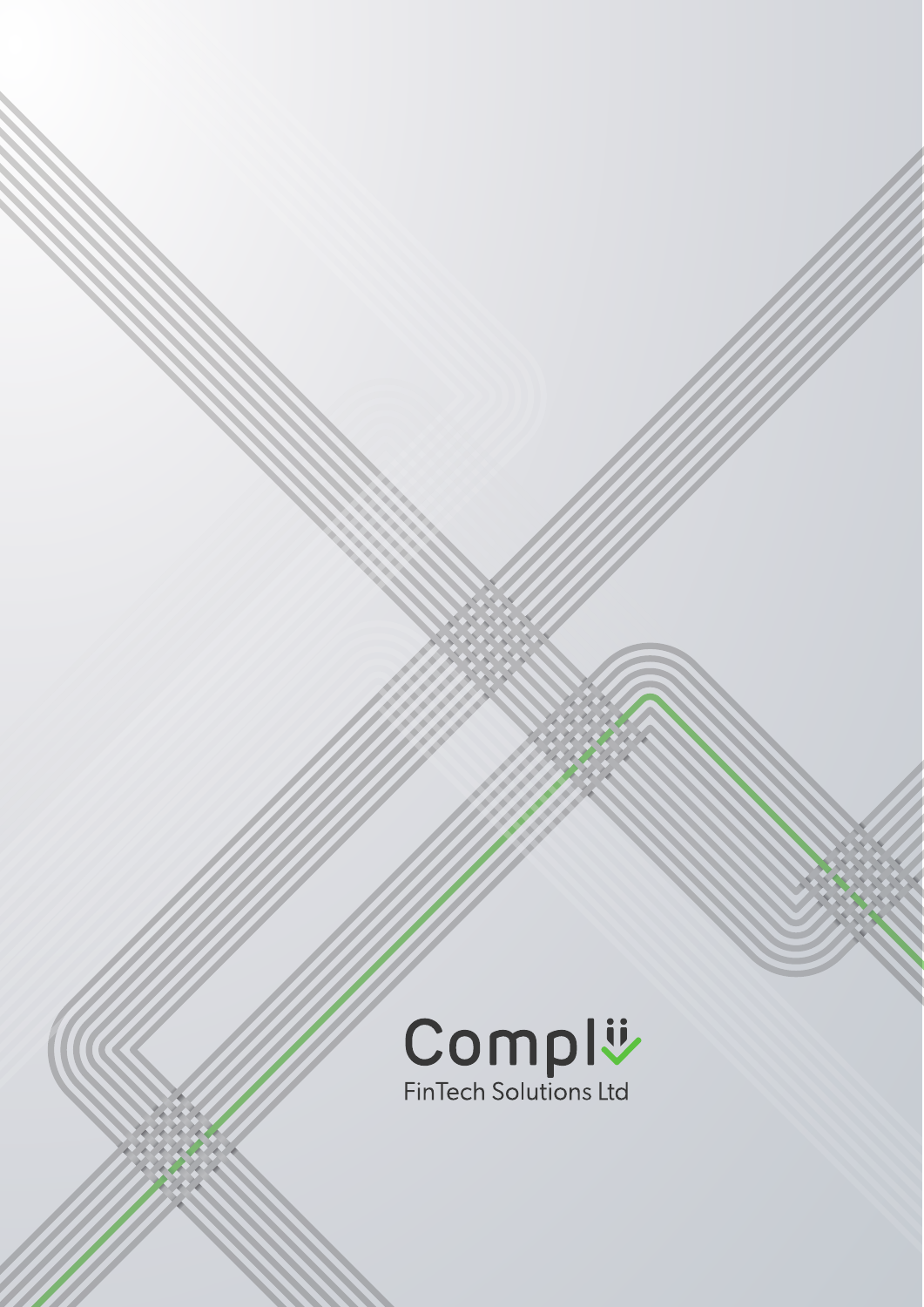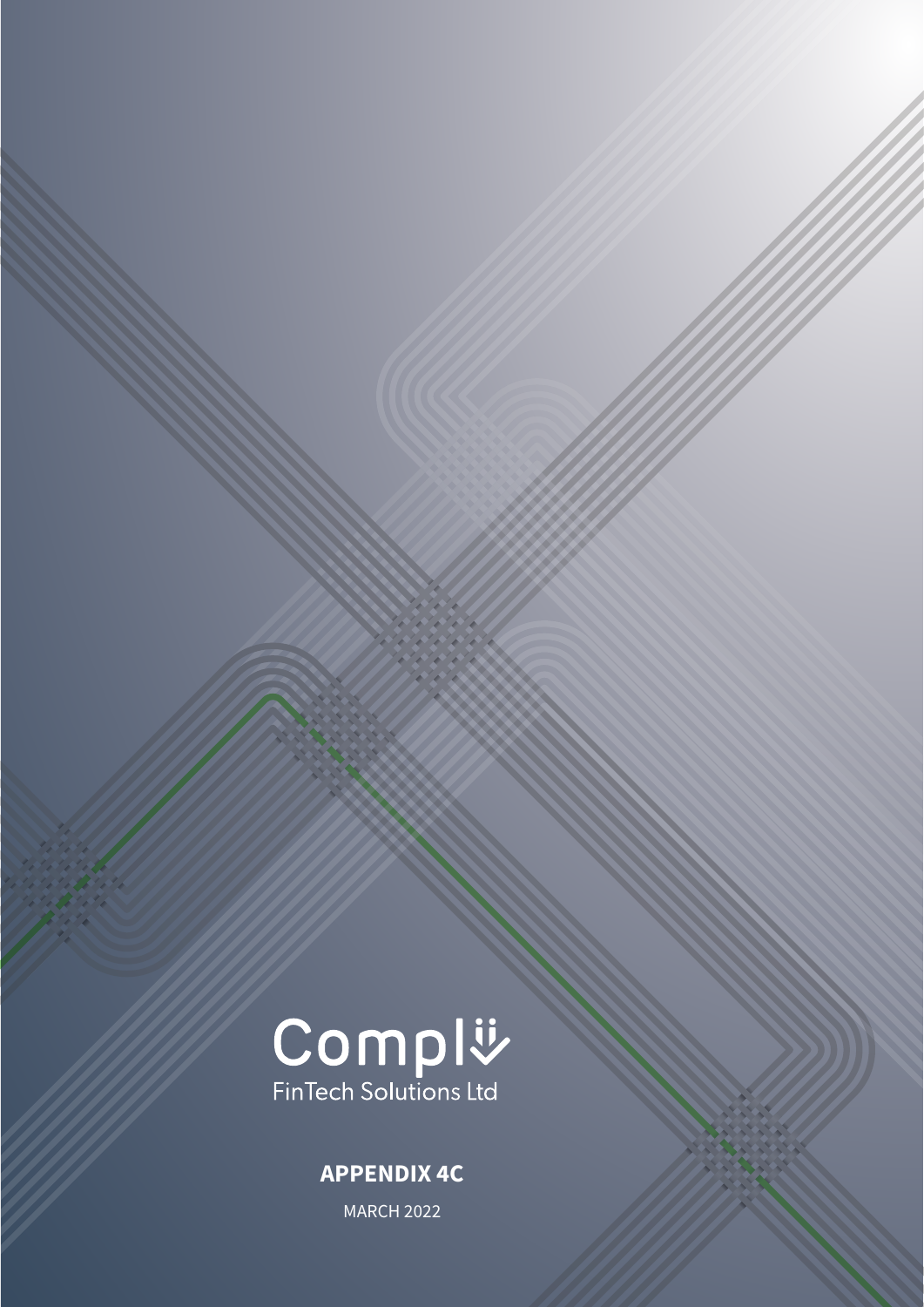

### APPENDIX 4C

MARCH 2022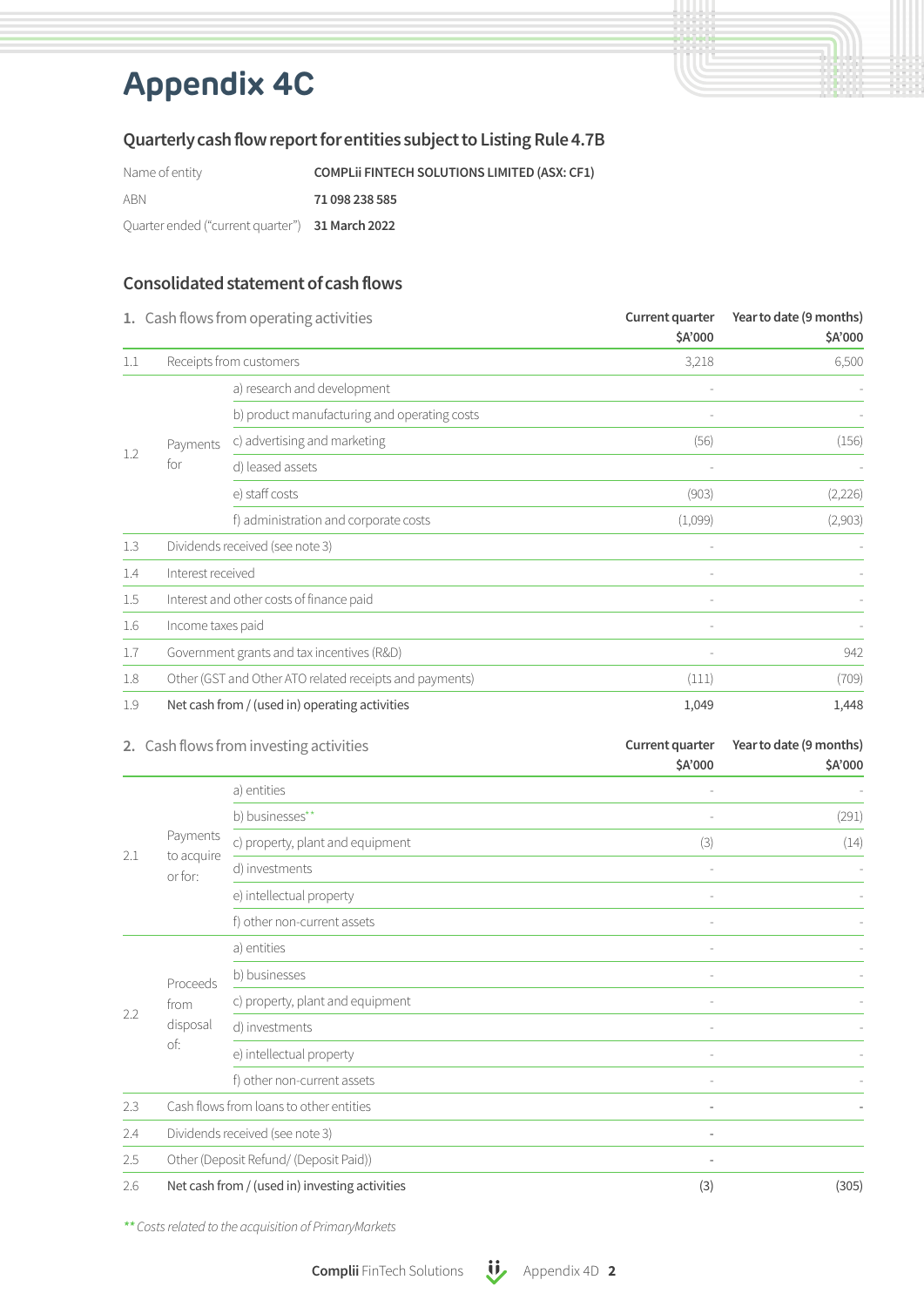# **Appendix 4C**

### Quarterly cash flow report for entities subject to Listing Rule 4.7B

Name of entity **COMPLII FINTECH SOLUTIONS LIMITED (ASX: CF1)** ABN **71 098 238 585** Quarter ended ("current quarter") 31 March 2022

### Consolidated statement of cash flows

|     | 1. Cash flows from operating activities<br>Receipts from customers |                                                         | Current quarter<br>\$A'000 | Year to date (9 months)<br>\$A'000<br>6,500 |
|-----|--------------------------------------------------------------------|---------------------------------------------------------|----------------------------|---------------------------------------------|
| 1.1 |                                                                    |                                                         | 3,218                      |                                             |
|     |                                                                    | a) research and development                             | $\overline{\phantom{a}}$   |                                             |
|     |                                                                    | b) product manufacturing and operating costs            |                            |                                             |
|     | Payments                                                           | c) advertising and marketing                            | (56)                       | (156)                                       |
| 1.2 | for                                                                | d) leased assets                                        |                            |                                             |
|     |                                                                    | e) staff costs                                          | (903)                      | (2,226)                                     |
|     |                                                                    | f) administration and corporate costs                   | (1,099)                    | (2,903)                                     |
| 1.3 | Dividends received (see note 3)                                    |                                                         |                            |                                             |
| 1.4 | Interest received                                                  |                                                         | $\overline{\phantom{a}}$   |                                             |
| 1.5 |                                                                    | Interest and other costs of finance paid                | $\overline{\phantom{a}}$   |                                             |
| 1.6 | Income taxes paid                                                  |                                                         |                            |                                             |
| 1.7 |                                                                    | Government grants and tax incentives (R&D)              |                            | 942                                         |
| 1.8 |                                                                    | Other (GST and Other ATO related receipts and payments) | (111)                      | (709)                                       |
| 1.9 |                                                                    | Net cash from / (used in) operating activities          | 1,049                      | 1,448                                       |

|     |                                         | 2. Cash flows from investing activities        | Current quarter          | Year to date (9 months) |
|-----|-----------------------------------------|------------------------------------------------|--------------------------|-------------------------|
|     |                                         |                                                | \$A'000                  | \$A'000                 |
|     | Payments                                | a) entities                                    |                          |                         |
|     |                                         | b) businesses**                                |                          | (291)                   |
|     |                                         | c) property, plant and equipment               | (3)                      | (14)                    |
| 2.1 | to acquire<br>or for:                   | d) investments                                 |                          |                         |
|     |                                         | e) intellectual property                       |                          |                         |
|     |                                         | f) other non-current assets                    |                          |                         |
|     | Proceeds                                | a) entities                                    |                          |                         |
|     |                                         | b) businesses                                  | $\overline{\phantom{a}}$ |                         |
| 2.2 | from                                    | c) property, plant and equipment               |                          |                         |
|     | disposal                                | d) investments                                 |                          |                         |
|     | of:                                     | e) intellectual property                       |                          |                         |
|     |                                         | f) other non-current assets                    |                          |                         |
| 2.3 | Cash flows from loans to other entities |                                                | ٠                        |                         |
| 2.4 | Dividends received (see note 3)         |                                                | $\overline{\phantom{a}}$ |                         |
| 2.5 |                                         | Other (Deposit Refund/ (Deposit Paid))         | $\overline{\phantom{m}}$ |                         |
| 2.6 |                                         | Net cash from / (used in) investing activities | (3)                      | (305)                   |

*\*\* Costs related to the acquisition of PrimaryMarkets*

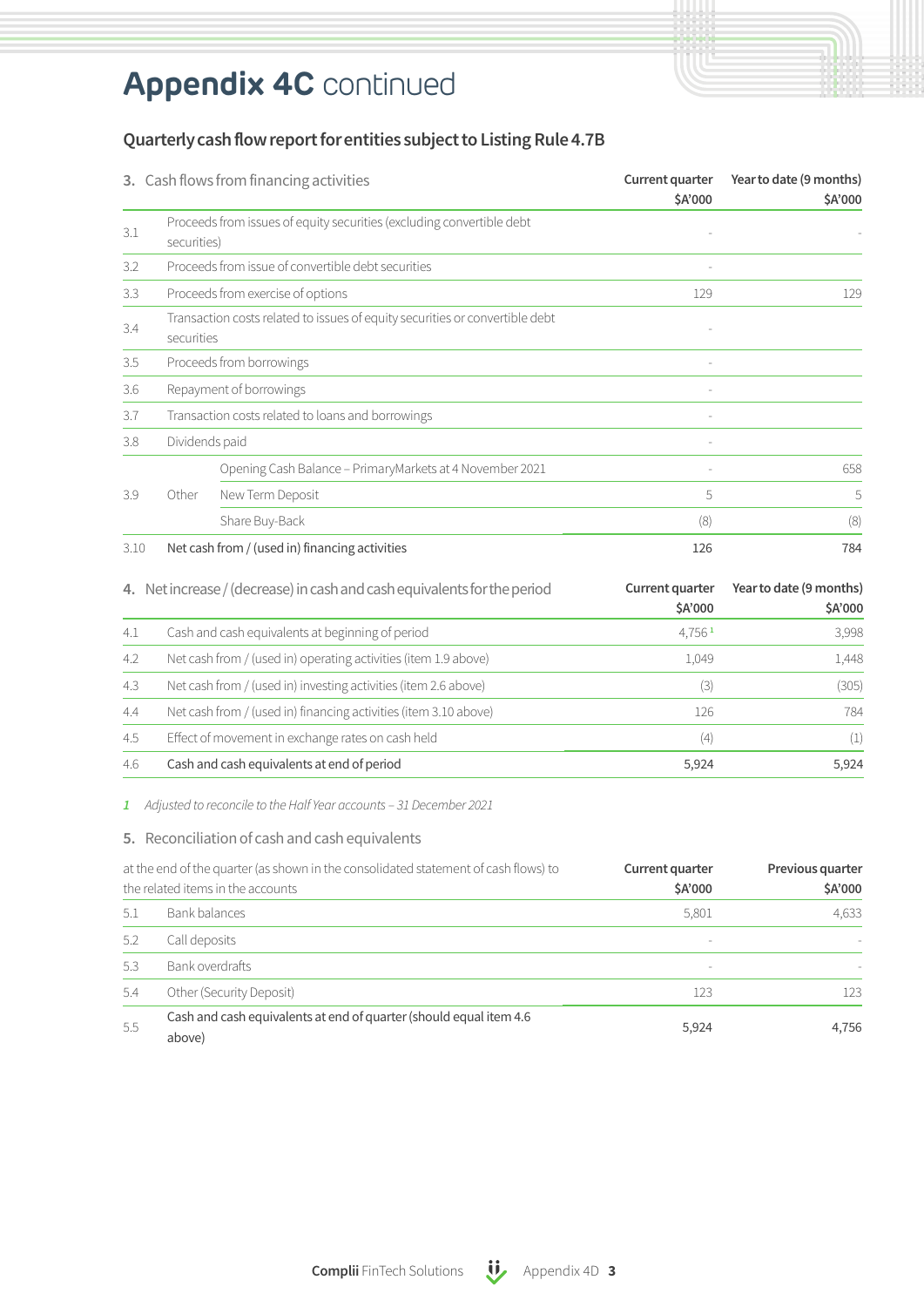# **Appendix 4C** continued

### Quarterly cash flow report for entities subject to Listing Rule 4.7B

|      |                | 3. Cash flows from financing activities                                      | Current quarter<br>\$A'000 | Year to date (9 months)<br>\$A'000 |
|------|----------------|------------------------------------------------------------------------------|----------------------------|------------------------------------|
| 3.1  | securities)    | Proceeds from issues of equity securities (excluding convertible debt        |                            |                                    |
| 3.2  |                | Proceeds from issue of convertible debt securities                           |                            |                                    |
| 3.3  |                | Proceeds from exercise of options                                            | 129                        | 129                                |
| 3.4  | securities     | Transaction costs related to issues of equity securities or convertible debt |                            |                                    |
| 3.5  |                | Proceeds from borrowings                                                     |                            |                                    |
| 3.6  |                | Repayment of borrowings                                                      |                            |                                    |
| 3.7  |                | Transaction costs related to loans and borrowings                            |                            |                                    |
| 3.8  | Dividends paid |                                                                              |                            |                                    |
|      |                | Opening Cash Balance - PrimaryMarkets at 4 November 2021                     |                            | 658                                |
| 3.9  | Other          | New Term Deposit                                                             | 5                          | 5                                  |
|      |                | Share Buy-Back                                                               | (8)                        | (8)                                |
| 3.10 |                | Net cash from / (used in) financing activities                               | 126                        | 784                                |
|      |                | 4. Net increase / (decrease) in cash and cash equivalents for the period     | Current quarter<br>\$A'000 | Year to date (9 months)<br>\$A'000 |
| 4.1  |                | Cash and cash equivalents at beginning of period                             | $4,756$ <sup>1</sup>       | 3,998                              |
| 4.2  |                | Net cash from / (used in) operating activities (item 1.9 above)              | 1,049                      | 1,448                              |
| 4.3  |                | Net cash from / (used in) investing activities (item 2.6 above)              | (3)                        | (305)                              |
| 4.4  |                | Net cash from / (used in) financing activities (item 3.10 above)             | 126                        | 784                                |
| 4.5  |                | Effect of movement in exchange rates on cash held                            | (4)                        | (1)                                |
| 4.6  |                | Cash and cash equivalents at end of period                                   | 5,924                      | 5,924                              |

*1 Adjusted to reconcile to the Half Year accounts – 31 December 2021*

#### 5. Reconciliation of cash and cash equivalents

| at the end of the quarter (as shown in the consolidated statement of cash flows) to<br>the related items in the accounts |                                                                              | Current quarter<br>\$A'000 | Previous quarter<br>\$A'000 |
|--------------------------------------------------------------------------------------------------------------------------|------------------------------------------------------------------------------|----------------------------|-----------------------------|
| 5.1                                                                                                                      | Bank balances                                                                | 5,801                      | 4,633                       |
| 5.2                                                                                                                      | Call deposits                                                                | $\sim$                     |                             |
| 5.3                                                                                                                      | Bank overdrafts                                                              | $\sim$                     |                             |
| 5.4                                                                                                                      | Other (Security Deposit)                                                     | 123                        | 123.                        |
| 5.5                                                                                                                      | Cash and cash equivalents at end of quarter (should equal item 4.6<br>above) | 5,924                      | 4,756                       |

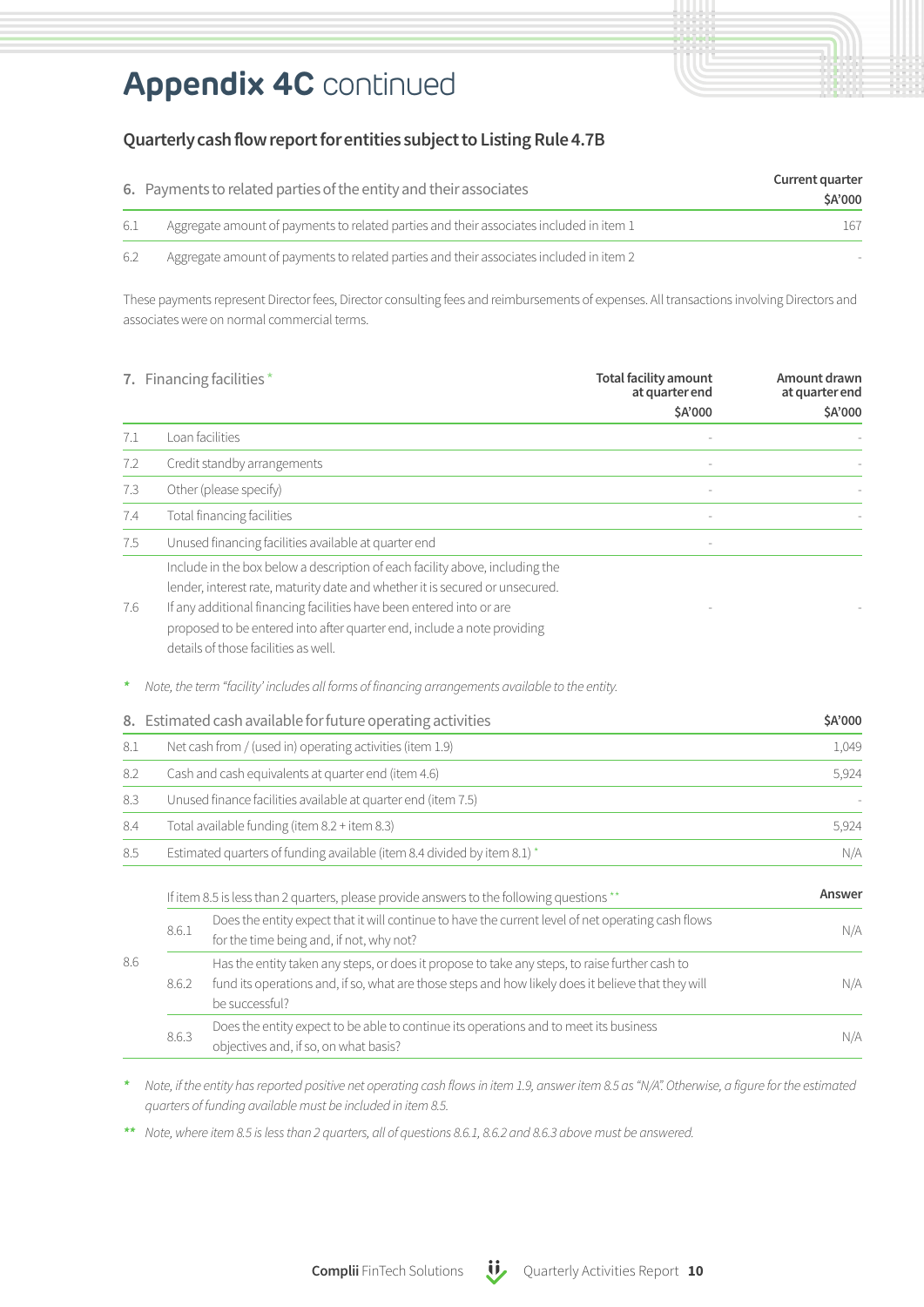## **Appendix 4C** continued

### Quarterly cash flow report for entities subject to Listing Rule 4.7B

|      | 6. Payments to related parties of the entity and their associates                       | Current quarter<br>\$A'000 |
|------|-----------------------------------------------------------------------------------------|----------------------------|
| -6.1 | Aggregate amount of payments to related parties and their associates included in item 1 | 167                        |
| 6.2  | Aggregate amount of payments to related parties and their associates included in item 2 |                            |

These payments represent Director fees, Director consulting fees and reimbursements of expenses. All transactions involving Directors and associates were on normal commercial terms.

|     |                                                                                                                                         | 7. Financing facilities*                                                                                                                                                                                                                                                                                                                                | <b>Total facility amount</b><br>at quarter end | Amount drawn<br>at quarter end |
|-----|-----------------------------------------------------------------------------------------------------------------------------------------|---------------------------------------------------------------------------------------------------------------------------------------------------------------------------------------------------------------------------------------------------------------------------------------------------------------------------------------------------------|------------------------------------------------|--------------------------------|
|     |                                                                                                                                         |                                                                                                                                                                                                                                                                                                                                                         | \$A'000                                        | \$A'000                        |
| 7.1 |                                                                                                                                         | Loan facilities                                                                                                                                                                                                                                                                                                                                         |                                                |                                |
| 7.2 |                                                                                                                                         | Credit standby arrangements                                                                                                                                                                                                                                                                                                                             |                                                |                                |
| 7.3 |                                                                                                                                         | Other (please specify)                                                                                                                                                                                                                                                                                                                                  |                                                |                                |
| 7.4 |                                                                                                                                         | Total financing facilities                                                                                                                                                                                                                                                                                                                              |                                                |                                |
| 7.5 |                                                                                                                                         | Unused financing facilities available at quarter end                                                                                                                                                                                                                                                                                                    |                                                |                                |
| 7.6 |                                                                                                                                         | Include in the box below a description of each facility above, including the<br>lender, interest rate, maturity date and whether it is secured or unsecured.<br>If any additional financing facilities have been entered into or are<br>proposed to be entered into after quarter end, include a note providing<br>details of those facilities as well. |                                                |                                |
| ×   |                                                                                                                                         | Note, the term "facility' includes all forms of financing arrangements available to the entity.                                                                                                                                                                                                                                                         |                                                |                                |
| 8.  |                                                                                                                                         | Estimated cash available for future operating activities                                                                                                                                                                                                                                                                                                |                                                | \$A'000                        |
| 8.1 |                                                                                                                                         | Net cash from / (used in) operating activities (item 1.9)                                                                                                                                                                                                                                                                                               |                                                | 1,049                          |
| 8.2 |                                                                                                                                         | Cash and cash equivalents at quarter end (item 4.6)                                                                                                                                                                                                                                                                                                     |                                                | 5,924                          |
| 8.3 |                                                                                                                                         | Unused finance facilities available at quarter end (item 7.5)                                                                                                                                                                                                                                                                                           |                                                |                                |
| 8.4 |                                                                                                                                         | Total available funding (item 8.2 + item 8.3)                                                                                                                                                                                                                                                                                                           |                                                | 5,924                          |
| 8.5 |                                                                                                                                         | Estimated quarters of funding available (item 8.4 divided by item 8.1) *                                                                                                                                                                                                                                                                                |                                                | N/A                            |
|     |                                                                                                                                         | If item 8.5 is less than 2 quarters, please provide answers to the following questions **                                                                                                                                                                                                                                                               |                                                | Answer                         |
|     | 8.6.1                                                                                                                                   | Does the entity expect that it will continue to have the current level of net operating cash flows<br>for the time being and, if not, why not?                                                                                                                                                                                                          |                                                | N/A                            |
| 8.6 | 8.6.2                                                                                                                                   | Has the entity taken any steps, or does it propose to take any steps, to raise further cash to<br>fund its operations and, if so, what are those steps and how likely does it believe that they will<br>be successful?                                                                                                                                  |                                                | N/A                            |
|     | Does the entity expect to be able to continue its operations and to meet its business<br>8.6.3<br>objectives and, if so, on what basis? |                                                                                                                                                                                                                                                                                                                                                         | N/A                                            |                                |

*\* Note, if the entity has reported positive net operating cash flows in item 1.9, answer item 8.5 as "N/A". Otherwise, a figure for the estimated quarters of funding available must be included in item 8.5.*

*\*\* Note, where item 8.5 is less than 2 quarters, all of questions 8.6.1, 8.6.2 and 8.6.3 above must be answered.*